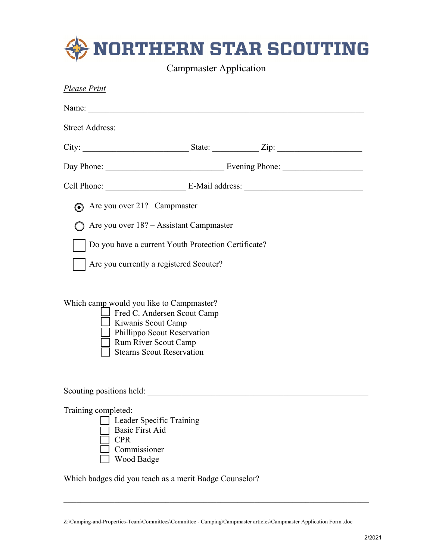| <b>NORTHERN STAR SCOUTING</b><br><b>Campmaster Application</b>                                                                                                                                                                                                                                                                                                                |                                                                              |  |
|-------------------------------------------------------------------------------------------------------------------------------------------------------------------------------------------------------------------------------------------------------------------------------------------------------------------------------------------------------------------------------|------------------------------------------------------------------------------|--|
| <b>Please Print</b>                                                                                                                                                                                                                                                                                                                                                           |                                                                              |  |
| Name:                                                                                                                                                                                                                                                                                                                                                                         |                                                                              |  |
|                                                                                                                                                                                                                                                                                                                                                                               |                                                                              |  |
|                                                                                                                                                                                                                                                                                                                                                                               |                                                                              |  |
|                                                                                                                                                                                                                                                                                                                                                                               |                                                                              |  |
|                                                                                                                                                                                                                                                                                                                                                                               |                                                                              |  |
| • Are you over 21? Campmaster<br>Are you over 18? – Assistant Campmaster<br>Do you have a current Youth Protection Certificate?<br>Are you currently a registered Scouter?<br>Which camp would you like to Campmaster?<br>Fred C. Andersen Scout Camp<br>Kiwanis Scout Camp<br>Phillippo Scout Reservation<br><b>Rum River Scout Camp</b><br><b>Stearns Scout Reservation</b> |                                                                              |  |
| Scouting positions held:<br>Training completed:<br>Leader Specific Training<br><b>Basic First Aid</b><br><b>CPR</b><br>Commissioner<br>Wood Badge<br>Which badges did you teach as a merit Badge Counselor?                                                                                                                                                                   | <u> 1989 - Johann Barn, mars ar breist fan de Amerikaanske kommunister (</u> |  |

Z:\Camping-and-Properties-Team\Committees\Committee - Camping\Campmaster articles\Campmaster Application Form .doc